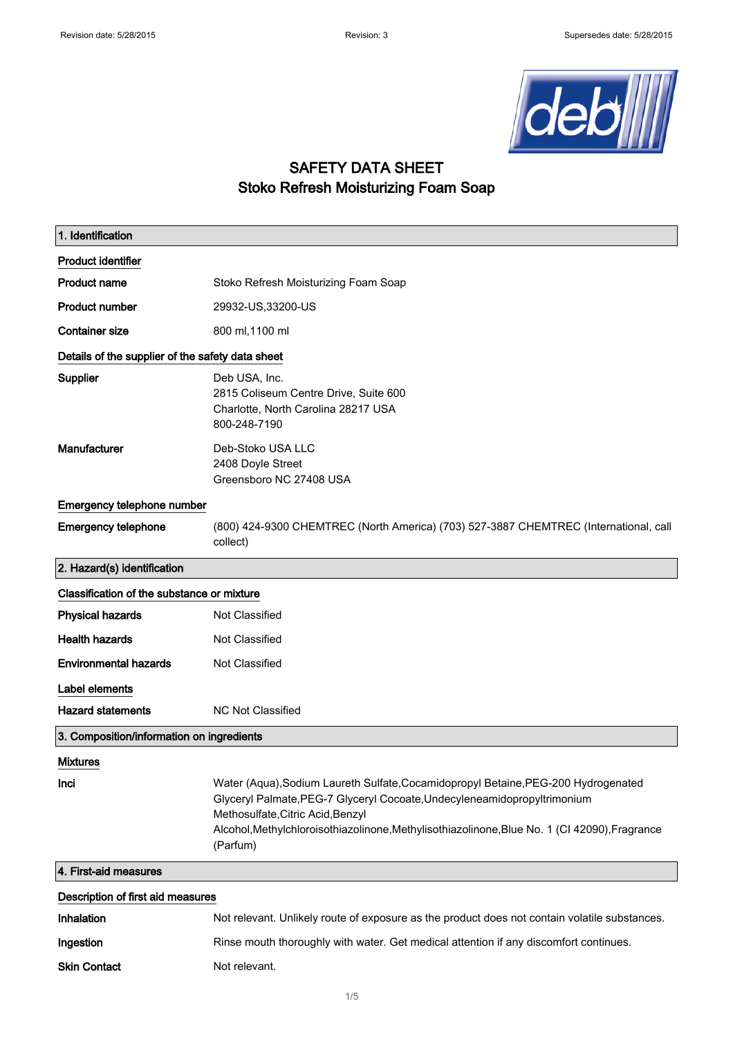

## SAFETY DATA SHEET Stoko Refresh Moisturizing Foam Soap

| 1. Identification                                |                                                                                                                                                                                                                                                                                                                  |  |  |
|--------------------------------------------------|------------------------------------------------------------------------------------------------------------------------------------------------------------------------------------------------------------------------------------------------------------------------------------------------------------------|--|--|
| <b>Product identifier</b>                        |                                                                                                                                                                                                                                                                                                                  |  |  |
| <b>Product name</b>                              | Stoko Refresh Moisturizing Foam Soap                                                                                                                                                                                                                                                                             |  |  |
| <b>Product number</b>                            | 29932-US, 33200-US                                                                                                                                                                                                                                                                                               |  |  |
| <b>Container size</b>                            | 800 ml, 1100 ml                                                                                                                                                                                                                                                                                                  |  |  |
| Details of the supplier of the safety data sheet |                                                                                                                                                                                                                                                                                                                  |  |  |
| Supplier                                         | Deb USA, Inc.<br>2815 Coliseum Centre Drive, Suite 600<br>Charlotte, North Carolina 28217 USA<br>800-248-7190                                                                                                                                                                                                    |  |  |
| Manufacturer                                     | Deb-Stoko USA LLC<br>2408 Doyle Street<br>Greensboro NC 27408 USA                                                                                                                                                                                                                                                |  |  |
| Emergency telephone number                       |                                                                                                                                                                                                                                                                                                                  |  |  |
| <b>Emergency telephone</b>                       | (800) 424-9300 CHEMTREC (North America) (703) 527-3887 CHEMTREC (International, call<br>collect)                                                                                                                                                                                                                 |  |  |
| 2. Hazard(s) identification                      |                                                                                                                                                                                                                                                                                                                  |  |  |
| Classification of the substance or mixture       |                                                                                                                                                                                                                                                                                                                  |  |  |
| <b>Physical hazards</b>                          | Not Classified                                                                                                                                                                                                                                                                                                   |  |  |
| <b>Health hazards</b>                            | Not Classified                                                                                                                                                                                                                                                                                                   |  |  |
| <b>Environmental hazards</b>                     | Not Classified                                                                                                                                                                                                                                                                                                   |  |  |
| Label elements                                   |                                                                                                                                                                                                                                                                                                                  |  |  |
| <b>Hazard statements</b>                         | <b>NC Not Classified</b>                                                                                                                                                                                                                                                                                         |  |  |
| 3. Composition/information on ingredients        |                                                                                                                                                                                                                                                                                                                  |  |  |
| <b>Mixtures</b>                                  |                                                                                                                                                                                                                                                                                                                  |  |  |
| Inci                                             | Water (Aqua), Sodium Laureth Sulfate, Cocamidopropyl Betaine, PEG-200 Hydrogenated<br>Glyceryl Palmate, PEG-7 Glyceryl Cocoate, Undecyleneamidopropyltrimonium<br>Methosulfate, Citric Acid, Benzyl<br>Alcohol, Methylchloroisothiazolinone, Methylisothiazolinone, Blue No. 1 (CI 42090), Fragrance<br>(Parfum) |  |  |
| 4. First-aid measures                            |                                                                                                                                                                                                                                                                                                                  |  |  |
| Description of first aid measures                |                                                                                                                                                                                                                                                                                                                  |  |  |
| Inhalation                                       | Not relevant. Unlikely route of exposure as the product does not contain volatile substances.                                                                                                                                                                                                                    |  |  |
| Ingestion                                        | Rinse mouth thoroughly with water. Get medical attention if any discomfort continues.                                                                                                                                                                                                                            |  |  |
| <b>Skin Contact</b>                              | Not relevant.                                                                                                                                                                                                                                                                                                    |  |  |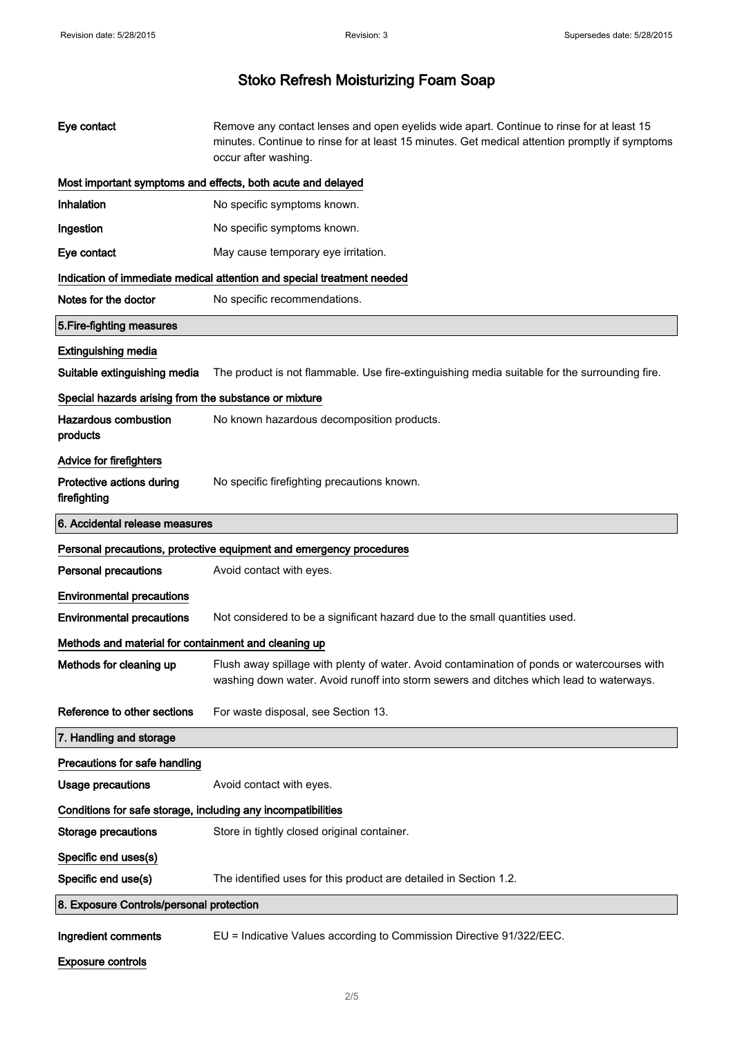| Eye contact                                                            | Remove any contact lenses and open eyelids wide apart. Continue to rinse for at least 15<br>minutes. Continue to rinse for at least 15 minutes. Get medical attention promptly if symptoms<br>occur after washing. |  |  |  |
|------------------------------------------------------------------------|--------------------------------------------------------------------------------------------------------------------------------------------------------------------------------------------------------------------|--|--|--|
|                                                                        | Most important symptoms and effects, both acute and delayed                                                                                                                                                        |  |  |  |
| Inhalation                                                             | No specific symptoms known.                                                                                                                                                                                        |  |  |  |
| Ingestion                                                              | No specific symptoms known.                                                                                                                                                                                        |  |  |  |
| Eye contact                                                            | May cause temporary eye irritation.                                                                                                                                                                                |  |  |  |
| Indication of immediate medical attention and special treatment needed |                                                                                                                                                                                                                    |  |  |  |
| Notes for the doctor                                                   | No specific recommendations.                                                                                                                                                                                       |  |  |  |
| 5. Fire-fighting measures                                              |                                                                                                                                                                                                                    |  |  |  |
| <b>Extinguishing media</b>                                             |                                                                                                                                                                                                                    |  |  |  |
| Suitable extinguishing media                                           | The product is not flammable. Use fire-extinguishing media suitable for the surrounding fire.                                                                                                                      |  |  |  |
| Special hazards arising from the substance or mixture                  |                                                                                                                                                                                                                    |  |  |  |
| <b>Hazardous combustion</b><br>products                                | No known hazardous decomposition products.                                                                                                                                                                         |  |  |  |
| <b>Advice for firefighters</b>                                         |                                                                                                                                                                                                                    |  |  |  |
| Protective actions during<br>firefighting                              | No specific firefighting precautions known.                                                                                                                                                                        |  |  |  |
| 6. Accidental release measures                                         |                                                                                                                                                                                                                    |  |  |  |
|                                                                        |                                                                                                                                                                                                                    |  |  |  |
|                                                                        | Personal precautions, protective equipment and emergency procedures                                                                                                                                                |  |  |  |
| <b>Personal precautions</b>                                            | Avoid contact with eyes.                                                                                                                                                                                           |  |  |  |
| <b>Environmental precautions</b>                                       |                                                                                                                                                                                                                    |  |  |  |
| <b>Environmental precautions</b>                                       | Not considered to be a significant hazard due to the small quantities used.                                                                                                                                        |  |  |  |
| Methods and material for containment and cleaning up                   |                                                                                                                                                                                                                    |  |  |  |
| Methods for cleaning up                                                | Flush away spillage with plenty of water. Avoid contamination of ponds or watercourses with<br>washing down water. Avoid runoff into storm sewers and ditches which lead to waterways.                             |  |  |  |
| Reference to other sections                                            | For waste disposal, see Section 13.                                                                                                                                                                                |  |  |  |
| 7. Handling and storage                                                |                                                                                                                                                                                                                    |  |  |  |
| Precautions for safe handling                                          |                                                                                                                                                                                                                    |  |  |  |
| <b>Usage precautions</b>                                               | Avoid contact with eyes.                                                                                                                                                                                           |  |  |  |
| Conditions for safe storage, including any incompatibilities           |                                                                                                                                                                                                                    |  |  |  |
| <b>Storage precautions</b>                                             | Store in tightly closed original container.                                                                                                                                                                        |  |  |  |
| Specific end uses(s)                                                   |                                                                                                                                                                                                                    |  |  |  |
| Specific end use(s)                                                    | The identified uses for this product are detailed in Section 1.2.                                                                                                                                                  |  |  |  |
| 8. Exposure Controls/personal protection                               |                                                                                                                                                                                                                    |  |  |  |

Exposure controls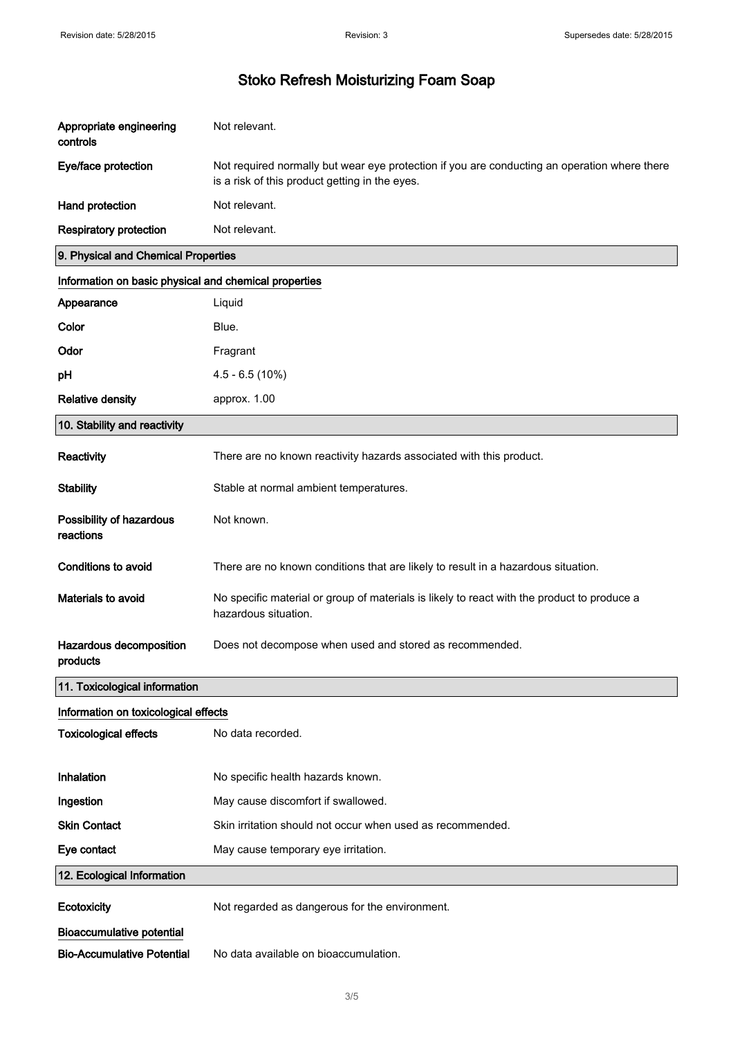| Appropriate engineering<br>controls                   | Not relevant.                                                                                                                                  |  |  |  |
|-------------------------------------------------------|------------------------------------------------------------------------------------------------------------------------------------------------|--|--|--|
| Eye/face protection                                   | Not required normally but wear eye protection if you are conducting an operation where there<br>is a risk of this product getting in the eyes. |  |  |  |
| Hand protection                                       | Not relevant.                                                                                                                                  |  |  |  |
| <b>Respiratory protection</b>                         | Not relevant.                                                                                                                                  |  |  |  |
| 9. Physical and Chemical Properties                   |                                                                                                                                                |  |  |  |
| Information on basic physical and chemical properties |                                                                                                                                                |  |  |  |
| Appearance                                            | Liquid                                                                                                                                         |  |  |  |
| Color                                                 | Blue.                                                                                                                                          |  |  |  |
| Odor                                                  | Fragrant                                                                                                                                       |  |  |  |
| pH                                                    | $4.5 - 6.5(10%)$                                                                                                                               |  |  |  |
| <b>Relative density</b>                               | approx. 1.00                                                                                                                                   |  |  |  |
| 10. Stability and reactivity                          |                                                                                                                                                |  |  |  |
| Reactivity                                            | There are no known reactivity hazards associated with this product.                                                                            |  |  |  |
| <b>Stability</b>                                      | Stable at normal ambient temperatures.                                                                                                         |  |  |  |
| Possibility of hazardous<br>reactions                 | Not known.                                                                                                                                     |  |  |  |
| Conditions to avoid                                   | There are no known conditions that are likely to result in a hazardous situation.                                                              |  |  |  |
| Materials to avoid                                    | No specific material or group of materials is likely to react with the product to produce a<br>hazardous situation.                            |  |  |  |
| Hazardous decomposition<br>products                   | Does not decompose when used and stored as recommended.                                                                                        |  |  |  |
| 11. Toxicological information                         |                                                                                                                                                |  |  |  |
| Information on toxicological effects                  |                                                                                                                                                |  |  |  |
| <b>Toxicological effects</b>                          | No data recorded.                                                                                                                              |  |  |  |
| Inhalation                                            | No specific health hazards known.                                                                                                              |  |  |  |
| Ingestion                                             | May cause discomfort if swallowed.                                                                                                             |  |  |  |
| <b>Skin Contact</b>                                   | Skin irritation should not occur when used as recommended.                                                                                     |  |  |  |
| Eye contact                                           | May cause temporary eye irritation.                                                                                                            |  |  |  |
| 12. Ecological Information                            |                                                                                                                                                |  |  |  |
| Ecotoxicity                                           | Not regarded as dangerous for the environment.                                                                                                 |  |  |  |
| <b>Bioaccumulative potential</b>                      |                                                                                                                                                |  |  |  |
| <b>Bio-Accumulative Potential</b>                     | No data available on bioaccumulation.                                                                                                          |  |  |  |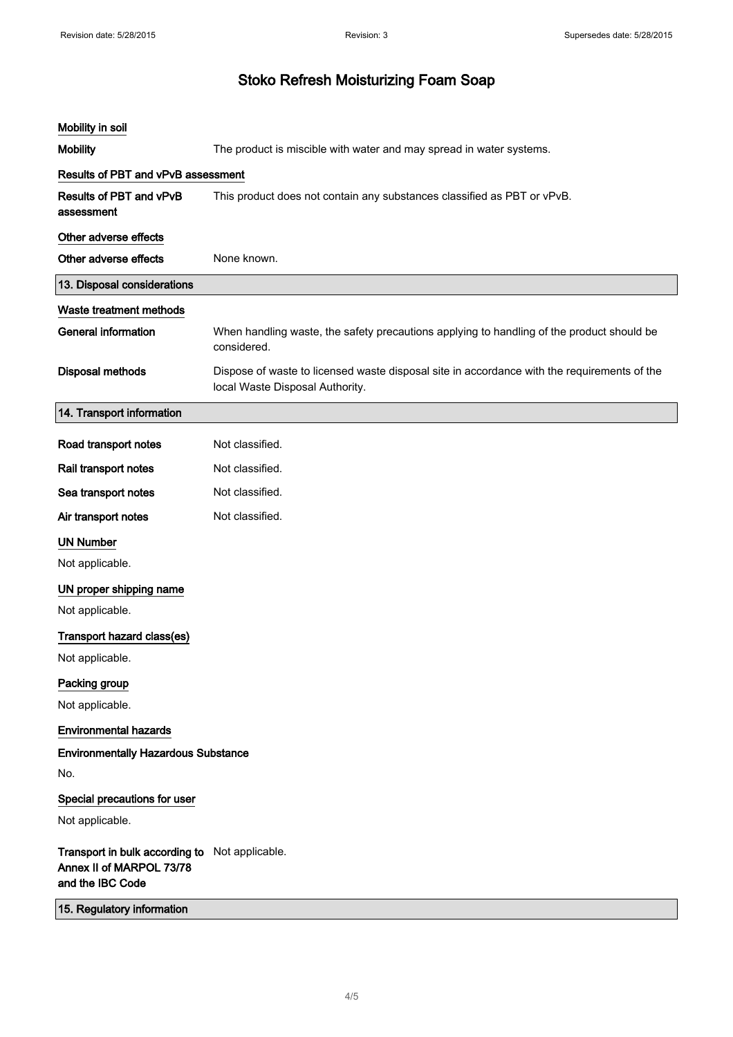| Mobility in soil                                                                               |                                                                                                                                |  |  |
|------------------------------------------------------------------------------------------------|--------------------------------------------------------------------------------------------------------------------------------|--|--|
| <b>Mobility</b>                                                                                | The product is miscible with water and may spread in water systems.                                                            |  |  |
| <b>Results of PBT and vPvB assessment</b>                                                      |                                                                                                                                |  |  |
| Results of PBT and vPvB<br>assessment                                                          | This product does not contain any substances classified as PBT or vPvB.                                                        |  |  |
| Other adverse effects                                                                          |                                                                                                                                |  |  |
| Other adverse effects                                                                          | None known.                                                                                                                    |  |  |
| 13. Disposal considerations                                                                    |                                                                                                                                |  |  |
| Waste treatment methods                                                                        |                                                                                                                                |  |  |
| <b>General information</b>                                                                     | When handling waste, the safety precautions applying to handling of the product should be<br>considered.                       |  |  |
| <b>Disposal methods</b>                                                                        | Dispose of waste to licensed waste disposal site in accordance with the requirements of the<br>local Waste Disposal Authority. |  |  |
| 14. Transport information                                                                      |                                                                                                                                |  |  |
| Road transport notes                                                                           | Not classified.                                                                                                                |  |  |
| Rail transport notes                                                                           | Not classified.                                                                                                                |  |  |
| Sea transport notes                                                                            | Not classified.                                                                                                                |  |  |
| Air transport notes                                                                            | Not classified.                                                                                                                |  |  |
| <b>UN Number</b>                                                                               |                                                                                                                                |  |  |
| Not applicable.                                                                                |                                                                                                                                |  |  |
| UN proper shipping name                                                                        |                                                                                                                                |  |  |
| Not applicable.                                                                                |                                                                                                                                |  |  |
| Transport hazard class(es)                                                                     |                                                                                                                                |  |  |
| Not applicable.                                                                                |                                                                                                                                |  |  |
| Packing group                                                                                  |                                                                                                                                |  |  |
| Not applicable.                                                                                |                                                                                                                                |  |  |
| <b>Environmental hazards</b>                                                                   |                                                                                                                                |  |  |
| <b>Environmentally Hazardous Substance</b>                                                     |                                                                                                                                |  |  |
| No.                                                                                            |                                                                                                                                |  |  |
| Special precautions for user                                                                   |                                                                                                                                |  |  |
| Not applicable.                                                                                |                                                                                                                                |  |  |
| Transport in bulk according to Not applicable.<br>Annex II of MARPOL 73/78<br>and the IBC Code |                                                                                                                                |  |  |
| 15. Regulatory information                                                                     |                                                                                                                                |  |  |